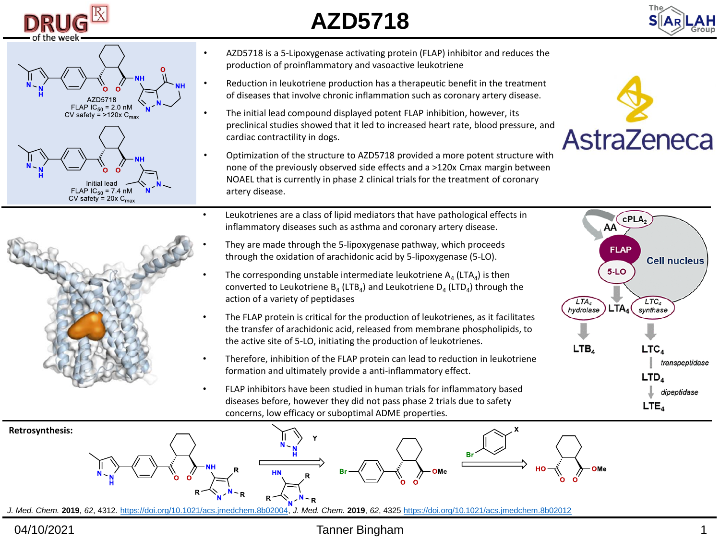

## **AZD5718**







- AZD5718 is a 5-Lipoxygenase activating protein (FLAP) inhibitor and reduces the production of proinflammatory and vasoactive leukotriene
- Reduction in leukotriene production has a therapeutic benefit in the treatment of diseases that involve chronic inflammation such as coronary artery disease.
- The initial lead compound displayed potent FLAP inhibition, however, its preclinical studies showed that it led to increased heart rate, blood pressure, and cardiac contractility in dogs.
- Optimization of the structure to AZD5718 provided a more potent structure with none of the previously observed side effects and a >120x Cmax margin between NOAEL that is currently in phase 2 clinical trials for the treatment of coronary artery disease.
- Leukotrienes are a class of lipid mediators that have pathological effects in inflammatory diseases such as asthma and coronary artery disease.
	- They are made through the 5-lipoxygenase pathway, which proceeds through the oxidation of arachidonic acid by 5-lipoxygenase (5-LO).
- The corresponding unstable intermediate leukotriene  $A_4$  (LTA<sub>4</sub>) is then converted to Leukotriene  $B_4$  (LTB<sub>4</sub>) and Leukotriene D<sub>4</sub> (LTD<sub>4</sub>) through the action of a variety of peptidases
- The FLAP protein is critical for the production of leukotrienes, as it facilitates the transfer of arachidonic acid, released from membrane phospholipids, to the active site of 5-LO, initiating the production of leukotrienes.
- Therefore, inhibition of the FLAP protein can lead to reduction in leukotriene formation and ultimately provide a anti-inflammatory effect.
- FLAP inhibitors have been studied in human trials for inflammatory based diseases before, however they did not pass phase 2 trials due to safety concerns, low efficacy or suboptimal ADME properties.







*J. Med. Chem.* **2019**, *62*, 4312*.* <https://doi.org/10.1021/acs.jmedchem.8b02004>, *J. Med. Chem.* **2019**, *62*, 4325 <https://doi.org/10.1021/acs.jmedchem.8b02012>

## 04/10/2021 Tanner Bingham 1